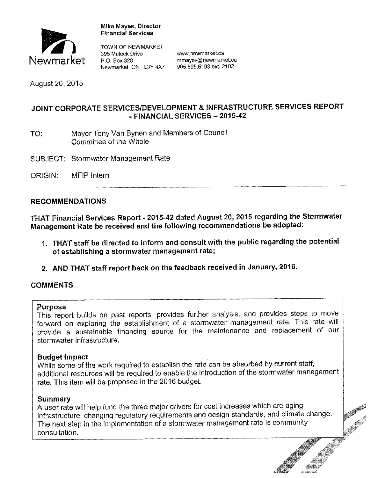

**Mike Mayes, Director** 

395 Mulock Drive **WWW.newmarket.ca**<br>P.O. Box 328 mmayes@newmark Newmarket P.O. Box 328 mmayes@newmarket.ca<br>Newmarket. ON L3Y 4X7 905.895.5193 ext. 2102 Newmarket, ON L3Y 4X7

August 20, 2015

# **JOINT CORPORATE SERVICES/DEVELOPMENT** & **INFRASTRUCTURE SERVICES REPORT**  • **FINANCIAL SERVICES- 2015-42**

- TO: Mayor Tony Van Bynen and Members of Council Committee of the Whole
- SUBJECT: Stormwater Management Rate
- ORIGIN: MFIP Intern

### **RECOMMENDATIONS**

**THAT Financial Services Report· 2015-42 dated August 20, 2015 regarding the Stormwater Management Rate be received and the following recommendations be adopted:** 

- **1. THAT staff be directed to inform and consult with the public regarding the potential of establishing a stormwater management rate;**
- **2. AND THAT staff report back on the feedback received in January, 2016.**

## **COMMENTS**

### **Purpose**

This report builds on past reports, provides further analysis, and provides steps to move forward on exploring the establishment of a stormwater management rate. This rate will provide a sustainable financing source for the maintenance and replacement of our stormwater infrastructure.

### **Budget Impact** .

 While some of the work required to establish the rate can be absorbed by current staff, additional resources will be required to enable the introduction of the stormwater management rate. This item will be proposed in the 2016 budget.

### **Summary**

A user rate will help fund the three major drivers for cost increases which are aging infrastructure, changing regulatory requirements and design standards, and climate change. The next step in the implementation of a stormwater management rate is community consultation.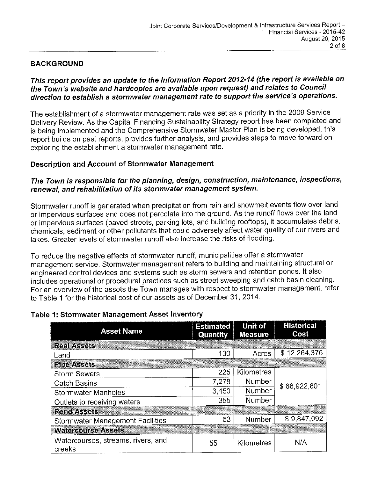# **BACKGROUND**

# **This report provides an update to the Information Report 2012-14 (the report is available on the Town's website and hardcopies are available upon request) and relates to Council direction to establish a stormwater management rate to support the service's operations.**

The establishment of a stormwater management rate was set as a priority in the 2009 Service Delivery Review. As the Capital Financing Sustainability Strategy report has been completed and is being implemented and the Comprehensive Stormwater Master Plan is being developed, this report builds on past reports, provides further analysis, and provides steps to move forward on exploring the establishment a stormwater management rate.

## **Description and Account of Stormwater Management**

# **The Town is responsible for the planning, design, construction, maintenance, inspections, renewal, and rehabilitation of its stormwater management system.**

Stormwater runoff is generated when precipitation from rain and snowmelt events flow over land or impervious surfaces and does not percolate into the ground. As the runoff flows over the land or impervious surfaces (paved streets, parking lots, and building rooftops), it accumulates debris, chemicals, sediment or other pollutants that could adversely affect water quality of our rivers and lakes. Greater levels of stormwater runoff also increase the risks of flooding.

To reduce the negative effects of stormwater runoff, municipalities offer a stormwater management service. Stormwater management refers to building and maintaining structural or engineered control devices and systems such as storm sewers and retention ponds. It also includes operational or procedural practices such as street sweeping and catch basin cleaning. For an overview of the assets the Town manages with respect to stormwater management, refer to Table 1 for the historical cost of our assets as of December 31, 2014.

| <b>Asset Name</b>                            | <b>Estimated</b><br>Quantity | <b>Unit of</b><br><b>Measure</b> | <b>Historical</b><br>Cost |  |
|----------------------------------------------|------------------------------|----------------------------------|---------------------------|--|
| <b>Real Assets</b>                           |                              |                                  |                           |  |
| Land                                         | 130                          | Acres                            | \$12,264,376              |  |
| <b>Pipe Assets</b>                           |                              |                                  |                           |  |
| <b>Storm Sewers</b>                          | 225                          | Kilometres                       | \$66,922,601              |  |
| <b>Catch Basins</b>                          | 7,278                        | Number                           |                           |  |
| <b>Stormwater Manholes</b>                   | 3,450                        | Number                           |                           |  |
| Outlets to receiving waters                  | 355                          | Number                           |                           |  |
| <b>Pond Assets</b>                           |                              |                                  |                           |  |
| <b>Stormwater Management Facilities</b>      | 53                           | Number                           | \$9,847,092               |  |
| <b>Watercourse Assets</b>                    |                              |                                  |                           |  |
| Watercourses, streams, rivers, and<br>creeks | 55                           | Kilometres                       | N/A                       |  |

## **Table 1: Stormwater Management Asset Inventory**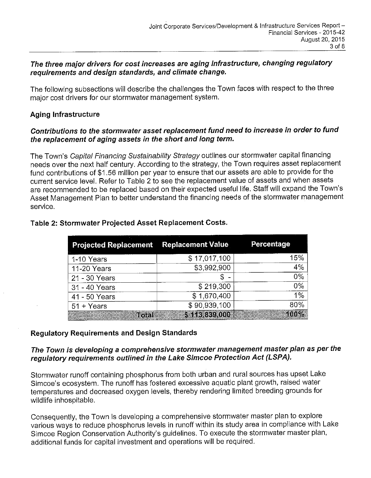### **The three major drivers for cost increases are aging infrastructure, changing regulatory requirements and design standards, and climate change.**

The following subsections will describe the challenges the Town faces with respect to the three major cost drivers for our stormwater management system.

## **Aging Infrastructure**

## **Contributions to the stormwater asset replacement fund need to increase in order to fund the replacement of aging assets in the short and long term.**

The Town's Capital Financing Sustainability Strategy outlines our stormwater capital financing needs over the next half century. According to the strategy, the Town requires asset replacement fund contributions of \$1.56 million per year to ensure that our assets are able to provide for the current service level. Refer to Table 2 to see the replacement value of assets and when assets are recommended to be replaced based on their expected useful life. Staff will expand the Town's Asset Management Plan to better understand the financing needs of the stormwater management service.

| <b>Projected Replacement Replacement Value</b> |               | Percentage                       |  |
|------------------------------------------------|---------------|----------------------------------|--|
| 1-10 Years                                     | \$17,017,100  | 15%                              |  |
| 11-20 Years                                    | \$3,992,900   | 4%                               |  |
| 21 - 30 Years                                  |               | 0%                               |  |
| 31 - 40 Years                                  | \$219,300     | 0%                               |  |
| 41 - 50 Years                                  | \$1,670,400   | $1\%$                            |  |
| $51 + Years$                                   | \$90,939,100  | 80%                              |  |
| Total                                          | \$113,839,000 | 100%<br><b>Contract Contract</b> |  |

### **Table 2: Stormwater Projected Asset Replacement Costs.**

## **Regulatory Requirements and Design Standards**

## **The Town is developing a comprehensive stormwater management master plan as per the regulatory requirements outlined in the Lake Simcoe Protection Act (LSPA).**

Stormwater runoff containing phosphorus from both urban and rural sources has upset Lake Simcoe's ecosystem. The runoff has fostered excessive aquatic plant growth, raised water temperatures and decreased oxygen levels, thereby rendering limited breeding grounds for wildlife inhospitable.

Consequently, the Town is developing a comprehensive stormwater master plan to explore various ways to reduce phosphorus levels in runoff within its study area in compliance with Lake Simcoe Region Conservation Authority's guidelines. To execute the stormwater master plan, additional funds for capital investment and operations will be required.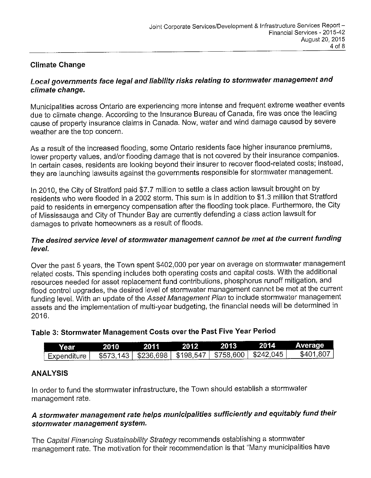# **Climate Change**

## **Local governments face legal and liability risks relating to stormwater management and climate change.**

Municipalities across Ontario are experiencing more intense and frequent extreme weather events due to climate change. According to the Insurance Bureau of Canada, fire was once the leading cause of property insurance claims **in** Canada. Now, water and wind damage caused by severe weather are the top concern.

As a result of the increased flooding, some Ontario residents face higher insurance premiums, lower property values, and/or flooding damage that is not covered by their insurance companies. In certain cases, residents are looking beyond their insurer to recover flood-related costs; instead, they are launching lawsuits against the governments responsible for stormwater management.

In 2010, the City of Stratford paid \$7.7 million to settle a class action lawsuit brought on by residents who were flooded in a 2002 storm. This sum is in addition to \$1.3 million that Stratford paid to residents in emergency compensation after the flooding took place. Furthermore, the City of Mississauga and City of Thunder Bay are currently defending a class action lawsuit for damages to private homeowners as a result of floods.

## **The desired service level of stormwater management cannot be met at the current funding level.**

Over the past 5 years, the Town spent \$402,000 per year on average on stormwater management related costs. This spending includes both operating costs and capital costs. With the additional resources needed for asset replacement fund contributions, phosphorus runoff mitigation, and flood control upgrades, the desired level of stormwater management cannot be met at the current funding level. With an update of the Asset Management Plan to include stormwater management assets and the implementation of multi-year budgeting, the financial needs will be determined in 2016.

| Table 3: Stormwater Management Costs over the Past Five Year Period |  |  |  |
|---------------------------------------------------------------------|--|--|--|
|---------------------------------------------------------------------|--|--|--|

| Year               | 2010                                                      | 2011 | 2012. | 2013 | 2014 | <b>Average</b> |
|--------------------|-----------------------------------------------------------|------|-------|------|------|----------------|
| <b>Expenditure</b> | \$573,143   \$236,698   \$198,547   \$758,600   \$242,045 |      |       |      |      | \$401.807      |

## **ANALYSIS**

In order to fund the stormwater infrastructure, the Town should establish a stormwater management rate.

# **A stormwater management rate helps municipalities sufficiently and equitably fund their stormwater management system.**

The Capital Financing Sustainability Strategy recommends establishing a stormwater management rate. The motivation for their recommendation is that "Many municipalities have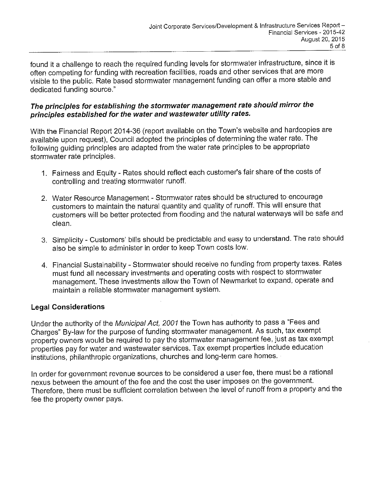found it a challenge to reach the required funding levels for stormwater infrastructure, since it is often competing for funding with recreation facilities, roads and other services that are more visible to the public. Rate based stormwater management funding can offer a more stable and dedicated funding source."

### **The principles for establishing the stormwater management rate should mirror the principles established for the water and wastewater utility rates.**

With the Financial Report 2014-36 (report available on the Town's website and hardcopies are available upon request), Council adopted the principles of determining the water rate. The following guiding principles are adapted from the water rate principles to be appropriate stormwater rate principles.

- **1.**  Fairness and Equity Rates should reflect each customer's fair share of the costs of controlling and treating stormwater runoff.
- 2. Water Resource Management Stormwater rates should be structured to encourage customers to maintain the natural quantity and quality of runoff. This **will** ensure that customers will be better protected from flooding and the natural waterways will be safe and clean.
- 3. Simplicity Customers' bills should be predictable and easy to understand. The rate should also be simple to administer **in** order to keep Town costs low.
- 4. Financial Sustainability Stormwater should receive no funding from property taxes. Rates must fund all necessary investments and operating costs with respect to stormwater management. These investments allow the Town of Newmarket to expand, operate and maintain a reliable stormwater management system.

## **Legal Considerations**

Under the authority of the Municipal Act, 2001 the Town has authority to pass a "Fees and Charges" By-law for the purpose of funding stormwater management. As such, tax exempt property owners would be required to pay the stormwater management fee, just as tax exempt properties pay for water and wastewater services. Tax exempt properties include education institutions, philanthropic organizations, churches and long-term care homes.

In order for government revenue sources to be considered a user fee, there must be a rational nexus between the amount of the fee and the cost the user imposes on the government. Therefore, there must be sufficient correlation between the level of runoff from a property and the fee the property owner pays.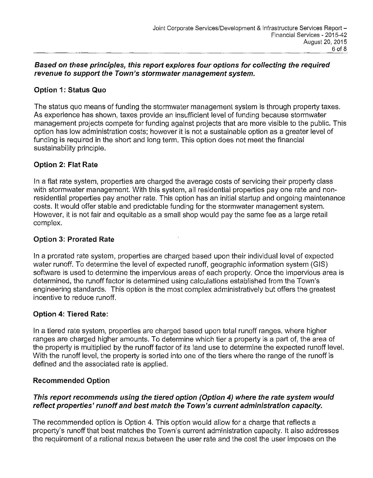### **Based on these principles, this report explores four options for collecting the required revenue to support the Town's stormwater management system.**

## **Option 1: Status Quo**

The status quo means of funding the stormwater management system is through property taxes. As experience has shown, taxes provide an insufficient level of funding because stormwater management projects compete for funding against projects that are more visible to the public. This option has low administration costs; however it is not a sustainable option as a greater level of funding is required in the short and long term. This option does not meet the financial sustainability principle.

## **Option 2: Flat Rate**

In a flat rate system, properties are charged the average costs of servicing their property class with stormwater management. With this system, all residential properties pay one rate and nonresidential properties pay another rate. This option has an initial startup and ongoing maintenance costs. It would offer stable and predictable funding for the stormwater management system. However, it is not fair and equitable as a small shop would pay the same fee as a large retail complex.

### **Option 3: Prorated Rate**

In a prorated rate system, properties are charged based upon their individual level of expected water runoff. To determine the level of expected runoff, geographic information system (GIS) software is used to determine the impervious areas of each property. Once the impervious area is determined, the runoff factor is determined using calculations established from the Town's engineering standards. This option is the most complex administratively but offers the greatest incentive to reduce runoff.

## **Option 4: Tiered Rate:**

In a tiered rate system, properties are charged based upon total runoff ranges, where higher ranges are charged higher amounts. To determine which tier a property is a part of, the area of the property is multiplied by the runoff factor of its land use to determine the expected runoff level. With the runoff level, the property is sorted into one of the tiers where the range of the runoff is defined and the associated rate is applied.

### **Recommended Option**

### **This report recommends using the tiered option (Option 4) where the rate system would reflect properties' runoff and best match the Town's current administration capacity.**

The recommended option is Option 4. This option would allow for a charge that reflects a property's runoff that best matches the Town's current administration capacity. It also addresses the requirement of a rational nexus between the user rate and the cost the user imposes on the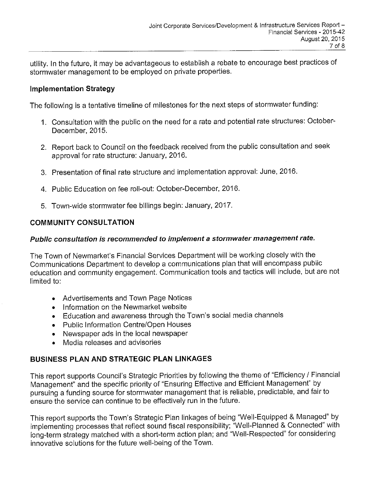utility. In the future, it may be advantageous to establish a rebate to encourage best practices of stormwater management to be employed on private properties.

## **Implementation Strategy**

The following is a tentative timeline of milestones for the next steps of stormwater funding:

- 1. Consultation with the public on the need for a rate and potential rate structures: October-December, 2015.
- 2. Report back to Council on the feedback received from the public consultation and seek approval for rate structure: January, 2016.
- 3. Presentation of final rate structure and implementation approval: June, 2016.
- 4. Public Education on fee roll-out: October-December, 2016.
- 5. Town-wide stormwater fee billings begin: January, 2017.

# **COMMUNITY CONSULTATION**

## **Public consultation is recommended to implement a stormwater management rate.**

The Town of Newmarket's Financial Services Department will be working closely with the Communications Department to develop a communications plan that will encompass public education and community engagement. Communication tools and tactics will include, but are not limited to:

- Advertisements and Town Page Notices
- Information on the Newmarket website
- Education and awareness through the Town's social media channels
- Public Information Centre/Open Houses
- Newspaper ads in the local newspaper
- Media releases and advisories

# **BUSINESS PLAN AND STRATEGIC PLAN LINKAGES**

This report supports Council's Strategic Priorities by following the theme of "Efficiency/ Financial Management" and the specific priority of "Ensuring Effective and Efficient Management" by pursuing a funding source for stormwater management that is reliable, predictable, and fair to ensure the service can continue to be effectively run in the future.

This report supports the Town's Strategic Plan linkages of being "Well-Equipped & Managed" by implementing processes that reflect sound fiscal responsibility; "Well-Planned & Connected" with long-term strategy matched with a short-term action plan; and "Well-Respected" for considering innovative solutions for the future well-being of the Town.